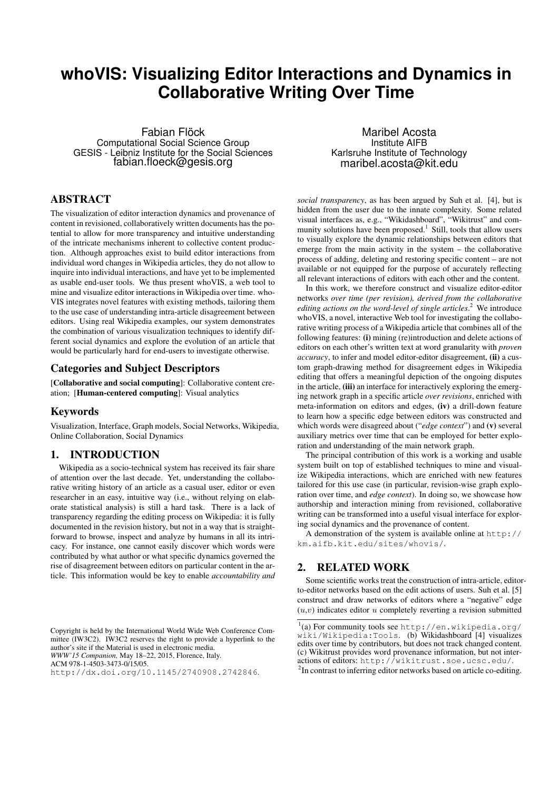# **whoVIS: Visualizing Editor Interactions and Dynamics in Collaborative Writing Over Time**

Fabian Flöck Computational Social Science Group GESIS - Leibniz Institute for the Social Sciences fabian.floeck@gesis.org

## ABSTRACT

The visualization of editor interaction dynamics and provenance of content in revisioned, collaboratively written documents has the potential to allow for more transparency and intuitive understanding of the intricate mechanisms inherent to collective content production. Although approaches exist to build editor interactions from individual word changes in Wikipedia articles, they do not allow to inquire into individual interactions, and have yet to be implemented as usable end-user tools. We thus present whoVIS, a web tool to mine and visualize editor interactions in Wikipedia over time. who-VIS integrates novel features with existing methods, tailoring them to the use case of understanding intra-article disagreement between editors. Using real Wikipedia examples, our system demonstrates the combination of various visualization techniques to identify different social dynamics and explore the evolution of an article that would be particularly hard for end-users to investigate otherwise.

#### Categories and Subject Descriptors

[Collaborative and social computing]: Collaborative content creation; [Human-centered computing]: Visual analytics

#### Keywords

Visualization, Interface, Graph models, Social Networks, Wikipedia, Online Collaboration, Social Dynamics

#### 1. INTRODUCTION

Wikipedia as a socio-technical system has received its fair share of attention over the last decade. Yet, understanding the collaborative writing history of an article as a casual user, editor or even researcher in an easy, intuitive way (i.e., without relying on elaborate statistical analysis) is still a hard task. There is a lack of transparency regarding the editing process on Wikipedia: it is fully documented in the revision history, but not in a way that is straightforward to browse, inspect and analyze by humans in all its intricacy. For instance, one cannot easily discover which words were contributed by what author or what specific dynamics governed the rise of disagreement between editors on particular content in the article. This information would be key to enable *accountability and*

Copyright is held by the International World Wide Web Conference Committee (IW3C2). IW3C2 reserves the right to provide a hyperlink to the author's site if the Material is used in electronic media. *WWW'15 Companion,* May 18–22, 2015, Florence, Italy. ACM 978-1-4503-3473-0/15/05.

http://dx.doi.org/10.1145/2740908.2742846.

Maribel Acosta Institute AIFB Karlsruhe Institute of Technology maribel.acosta@kit.edu

*social transparency*, as has been argued by Suh et al. [4], but is hidden from the user due to the innate complexity. Some related visual interfaces as, e.g., "Wikidashboard", "Wikitrust" and community solutions have been proposed.<sup>1</sup> Still, tools that allow users to visually explore the dynamic relationships between editors that emerge from the main activity in the system – the collaborative process of adding, deleting and restoring specific content – are not available or not equipped for the purpose of accurately reflecting all relevant interactions of editors with each other and the content.

In this work, we therefore construct and visualize editor-editor networks *over time (per revision), derived from the collaborative editing actions on the word-level of single articles*. <sup>2</sup> We introduce whoVIS, a novel, interactive Web tool for investigating the collaborative writing process of a Wikipedia article that combines all of the following features: (i) mining (re)introduction and delete actions of editors on each other's written text at word granularity with *proven accuracy*, to infer and model editor-editor disagreement, (ii) a custom graph-drawing method for disagreement edges in Wikipedia editing that offers a meaningful depiction of the ongoing disputes in the article, (iii) an interface for interactively exploring the emerging network graph in a specific article *over revisions*, enriched with meta-information on editors and edges, (iv) a drill-down feature to learn how a specific edge between editors was constructed and which words were disagreed about ("*edge context*") and (v) several auxiliary metrics over time that can be employed for better exploration and understanding of the main network graph.

The principal contribution of this work is a working and usable system built on top of established techniques to mine and visualize Wikipedia interactions, which are enriched with new features tailored for this use case (in particular, revision-wise graph exploration over time, and *edge context*). In doing so, we showcase how authorship and interaction mining from revisioned, collaborative writing can be transformed into a useful visual interface for exploring social dynamics and the provenance of content.

A demonstration of the system is available online at http:// km.aifb.kit.edu/sites/whovis/.

#### 2. RELATED WORK

Some scientific works treat the construction of intra-article, editorto-editor networks based on the edit actions of users. Suh et al. [5] construct and draw networks of editors where a "negative" edge  $(u, v)$  indicates editor u completely reverting a revision submitted

<sup>2</sup>In contrast to inferring editor networks based on article co-editing.

<sup>1</sup> (a) For community tools see http://en.wikipedia.org/ wiki/Wikipedia:Tools. (b) Wikidashboard [4] visualizes edits over time by contributors, but does not track changed content. (c) Wikitrust provides word provenance information, but not interactions of editors: http://wikitrust.soe.ucsc.edu/.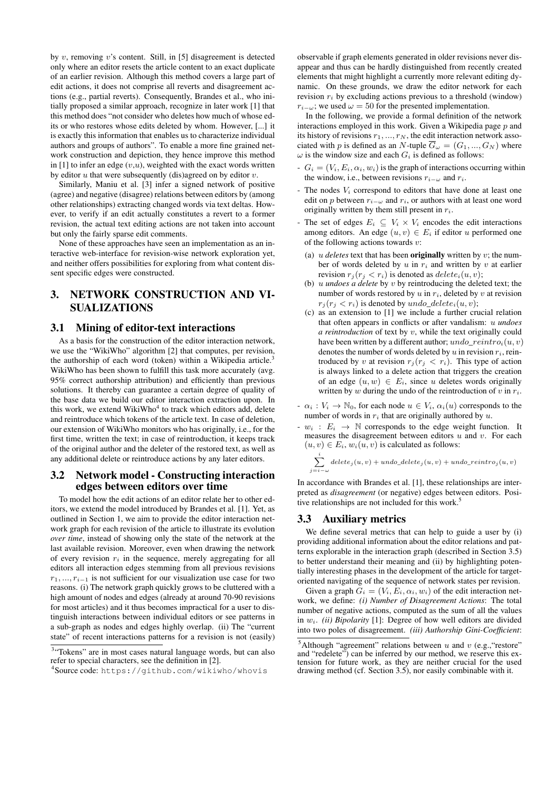by  $v$ , removing  $v$ 's content. Still, in [5] disagreement is detected only where an editor resets the article content to an exact duplicate of an earlier revision. Although this method covers a large part of edit actions, it does not comprise all reverts and disagreement actions (e.g., partial reverts). Consequently, Brandes et al., who initially proposed a similar approach, recognize in later work [1] that this method does "not consider who deletes how much of whose edits or who restores whose edits deleted by whom. However, [...] it is exactly this information that enables us to characterize individual authors and groups of authors". To enable a more fine grained network construction and depiction, they hence improve this method in [1] to infer an edge  $(v, u)$ , weighted with the exact words written by editor  $u$  that were subsequently (dis)agreed on by editor  $v$ .

Similarly, Maniu et al. [3] infer a signed network of positive (agree) and negative (disagree) relations between editors by (among other relationships) extracting changed words via text deltas. However, to verify if an edit actually constitutes a revert to a former revision, the actual text editing actions are not taken into account but only the fairly sparse edit comments.

None of these approaches have seen an implementation as an interactive web-interface for revision-wise network exploration yet, and neither offers possibilities for exploring from what content dissent specific edges were constructed.

## 3. NETWORK CONSTRUCTION AND VI-SUALIZATIONS

### 3.1 Mining of editor-text interactions

As a basis for the construction of the editor interaction network, we use the "WikiWho" algorithm [2] that computes, per revision, the authorship of each word (token) within a Wikipedia article.<sup>3</sup> WikiWho has been shown to fulfill this task more accurately (avg. 95% correct authorship attribution) and efficiently than previous solutions. It thereby can guarantee a certain degree of quality of the base data we build our editor interaction extraction upon. In this work, we extend WikiWho<sup>4</sup> to track which editors add, delete and reintroduce which tokens of the article text. In case of deletion, our extension of WikiWho monitors who has originally, i.e., for the first time, written the text; in case of reintroduction, it keeps track of the original author and the deleter of the restored text, as well as any additional delete or reintroduce actions by any later editors.

#### 3.2 Network model - Constructing interaction edges between editors over time

To model how the edit actions of an editor relate her to other editors, we extend the model introduced by Brandes et al. [1]. Yet, as outlined in Section 1, we aim to provide the editor interaction network graph for each revision of the article to illustrate its evolution *over time*, instead of showing only the state of the network at the last available revision. Moreover, even when drawing the network of every revision  $r_i$  in the sequence, merely aggregating for all editors all interaction edges stemming from all previous revisions  $r_1, \ldots, r_{i-1}$  is not sufficient for our visualization use case for two reasons. (i) The network graph quickly grows to be cluttered with a high amount of nodes and edges (already at around 70-90 revisions for most articles) and it thus becomes impractical for a user to distinguish interactions between individual editors or see patterns in a sub-graph as nodes and edges highly overlap. (ii) The "current state" of recent interactions patterns for a revision is not (easily)

observable if graph elements generated in older revisions never disappear and thus can be hardly distinguished from recently created elements that might highlight a currently more relevant editing dynamic. On these grounds, we draw the editor network for each revision  $r_i$  by excluding actions previous to a threshold (window)  $r_{i-\omega}$ ; we used  $\omega = 50$  for the presented implementation.

In the following, we provide a formal definition of the network interactions employed in this work. Given a Wikipedia page  $p$  and its history of revisions  $r_1, ..., r_N$ , the edit interaction network associated with p is defined as an N-tuple  $\overline{G}_{\omega} = (G_1, ..., G_N)$  where  $\omega$  is the window size and each  $G_i$  is defined as follows:

- $G_i = (V_i, E_i, \alpha_i, w_i)$  is the graph of interactions occurring within the window, i.e., between revisions  $r_{i-\omega}$  and  $r_i$ .
- The nodes  $V_i$  correspond to editors that have done at least one edit on p between  $r_{i-\omega}$  and  $r_i$ , or authors with at least one word originally written by them still present in  $r_i$ .
- The set of edges  $E_i \subseteq V_i \times V_i$  encodes the edit interactions among editors. An edge  $(u, v) \in E_i$  if editor u performed one of the following actions towards  $v$ :
	- (a)  $u$  *deletes* text that has been **originally** written by  $v$ ; the number of words deleted by  $u$  in  $r_i$  and written by  $v$  at earlier revision  $r_i (r_i < r_i)$  is denoted as  $delete_i(u, v)$ ;
	- (b) u *undoes a delete* by v by reintroducing the deleted text; the number of words restored by  $u$  in  $r_i$ , deleted by  $v$  at revision  $r_j(r_j < r_i)$  is denoted by undo\_delete<sub>i</sub> $(u, v)$ ;
	- (c) as an extension to [1] we include a further crucial relation that often appears in conflicts or after vandalism: u *undoes a reintroduction* of text by v, while the text originally could have been written by a different author;  $undo\_reintro_i(u, v)$ denotes the number of words deleted by  $u$  in revision  $r_i$ , reintroduced by v at revision  $r_j (r_j \, < \, r_i)$ . This type of action is always linked to a delete action that triggers the creation of an edge  $(u, w) \in E_i$ , since u deletes words originally written by w during the undo of the reintroduction of v in  $r_i$ .
- $-\alpha_i : V_i \to \mathbb{N}_0$ , for each node  $u \in V_i$ ,  $\alpha_i(u)$  corresponds to the number of words in  $r_i$  that are originally authored by  $u$ .
- $-w_i : E_i \rightarrow \mathbb{N}$  corresponds to the edge weight function. It measures the disagreement between editors  $u$  and  $v$ . For each  $(u, v) \in E_i$ ,  $w_i(u, v)$  is calculated as follows:

$$
\sum_{j=i-\omega}^{i}delete_j(u,v) + undo\_delete_j(u,v) + undo\_reintro_j(u,v)
$$

In accordance with Brandes et al. [1], these relationships are interpreted as *disagreement* (or negative) edges between editors. Positive relationships are not included for this work.<sup>5</sup>

#### 3.3 Auxiliary metrics

We define several metrics that can help to guide a user by (i) providing additional information about the editor relations and patterns explorable in the interaction graph (described in Section 3.5) to better understand their meaning and (ii) by highlighting potentially interesting phases in the development of the article for targetoriented navigating of the sequence of network states per revision.

Given a graph  $G_i = (V_i, E_i, \alpha_i, w_i)$  of the edit interaction network, we define: *(i) Number of Disagreement Actions*: The total number of negative actions, computed as the sum of all the values in  $w_i$ . *(ii) Bipolarity* [1]: Degree of how well editors are divided into two poles of disagreement. *(iii) Authorship Gini-Coefficient*:

<sup>&</sup>lt;sup>3</sup>"Tokens" are in most cases natural language words, but can also refer to special characters, see the definition in [2].

<sup>4</sup> Source code: https://github.com/wikiwho/whovis

<sup>&</sup>lt;sup>5</sup>Although "agreement" relations between u and v (e.g., "restore" and "redelete") can be inferred by our method, we reserve this extension for future work, as they are neither crucial for the used drawing method (cf. Section 3.5), nor easily combinable with it.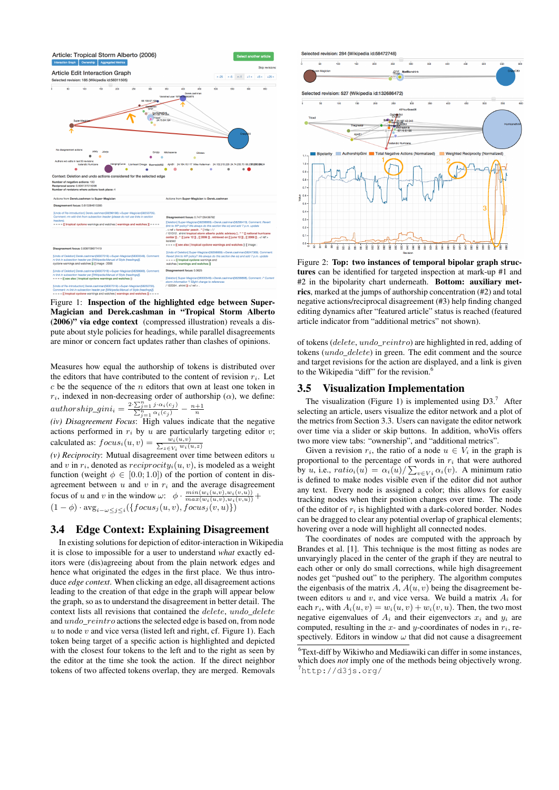

Figure 1: Inspection of the highlighted edge between Super-Magician and Derek.cashman in "Tropical Storm Alberto (2006)" via edge context (compressed illustration) reveals a dispute about style policies for headings, while parallel disagreements are minor or concern fact updates rather than clashes of opinions.

Measures how equal the authorship of tokens is distributed over the editors that have contributed to the content of revision  $r_i$ . Let  $c$  be the sequence of the  $n$  editors that own at least one token in  $r_i$ , indexed in non-decreasing order of authorship ( $\alpha$ ), we define:  $authorship\_gini_i = \frac{2 \cdot \sum_{j=1}^{n} j \cdot \alpha_i(c_j)}{\sum_{j=1}^{n} \alpha_i(c_j)} - \frac{n+1}{n}$ 

*(iv) Disagreement Focus*: High values indicate that the negative actions performed in  $r_i$  by u are particularly targeting editor v; calculated as:  $focus_i(u, v) = \frac{w_i(u, v)}{\sum_{z \in V_i} w_i(v)}$  $w_i(u,z)$ 

 $(v)$  *Reciprocity*: Mutual disagreement over time between editors  $u$ and v in  $r_i$ , denoted as  $reciprocity_i(u, v)$ , is modeled as a weight function (weight  $\phi \in [0.0; 1.0]$ ) of the portion of content in disagreement between  $u$  and  $v$  in  $r_i$  and the average disagreement focus of u and v in the window  $\omega$ :  $\phi \cdot \frac{\min(w_i(u,v), w_i(v,u))}{\max(w_i(u,v), w_i(v,u))} +$  $(1 - \phi) \cdot \text{avg}_{i - \omega \leq j \leq i}(\{focus_j(u, v), focus_j(v, u)\})$ 

#### 3.4 Edge Context: Explaining Disagreement

In existing solutions for depiction of editor-interaction in Wikipedia it is close to impossible for a user to understand *what* exactly editors were (dis)agreeing about from the plain network edges and hence what originated the edges in the first place. We thus introduce *edge context*. When clicking an edge, all disagreement actions leading to the creation of that edge in the graph will appear below the graph, so as to understand the disagreement in better detail. The context lists all revisions that contained the *delete*, undo *delete* and undo\_reintro actions the selected edge is based on, from node  $u$  to node  $v$  and vice versa (listed left and right, cf. Figure 1). Each token being target of a specific action is highlighted and depicted with the closest four tokens to the left and to the right as seen by the editor at the time she took the action. If the direct neighbor tokens of two affected tokens overlap, they are merged. Removals



Figure 2: Top: two instances of temporal bipolar graph structures can be identified for targeted inspection at mark-up #1 and #2 in the bipolarity chart underneath. Bottom: auxiliary metrics, marked at the jumps of authorship concentration (#2) and total negative actions/reciprocal disagreement (#3) help finding changed editing dynamics after "featured article" status is reached (featured article indicator from "additional metrics" not shown).

of tokens (delete, undo\_reintro) are highlighted in red, adding of tokens (undo\_delete) in green. The edit comment and the source and target revisions for the action are displayed, and a link is given to the Wikipedia "diff" for the revision.

#### 3.5 Visualization Implementation

The visualization (Figure 1) is implemented using  $D3$ .<sup>7</sup> After selecting an article, users visualize the editor network and a plot of the metrics from Section 3.3. Users can navigate the editor network over time via a slider or skip buttons. In addition, whoVis offers two more view tabs: "ownership", and "additional metrics".

Given a revision  $r_i$ , the ratio of a node  $u \in V_i$  in the graph is proportional to the percentage of words in  $r_i$  that were authored by u, i.e.,  $ratio_i(u) = \alpha_i(u) / \sum_{v \in Vi} \alpha_i(v)$ . A minimum ratio is defined to make nodes visible even if the editor did not author any text. Every node is assigned a color; this allows for easily tracking nodes when their position changes over time. The node of the editor of  $r_i$  is highlighted with a dark-colored border. Nodes can be dragged to clear any potential overlap of graphical elements; hovering over a node will highlight all connected nodes.

The coordinates of nodes are computed with the approach by Brandes et al. [1]. This technique is the most fitting as nodes are unvaryingly placed in the center of the graph if they are neutral to each other or only do small corrections, while high disagreement nodes get "pushed out" to the periphery. The algorithm computes the eigenbasis of the matrix  $A, A(u, v)$  being the disagreement between editors u and v, and vice versa. We build a matrix  $A_i$  for each  $r_i$ , with  $A_i(u, v) = w_i(u, v) + w_i(v, u)$ . Then, the two most negative eigenvalues of  $A_i$  and their eigenvectors  $x_i$  and  $y_i$  are computed, resulting in the  $x$ - and  $y$ -coordinates of nodes in  $r_i$ , respectively. Editors in window  $\omega$  that did not cause a disagreement

<sup>6</sup>Text-diff by Wikiwho and Mediawiki can differ in some instances, which does *not* imply one of the methods being objectively wrong.  $'$ http://d3js.org/